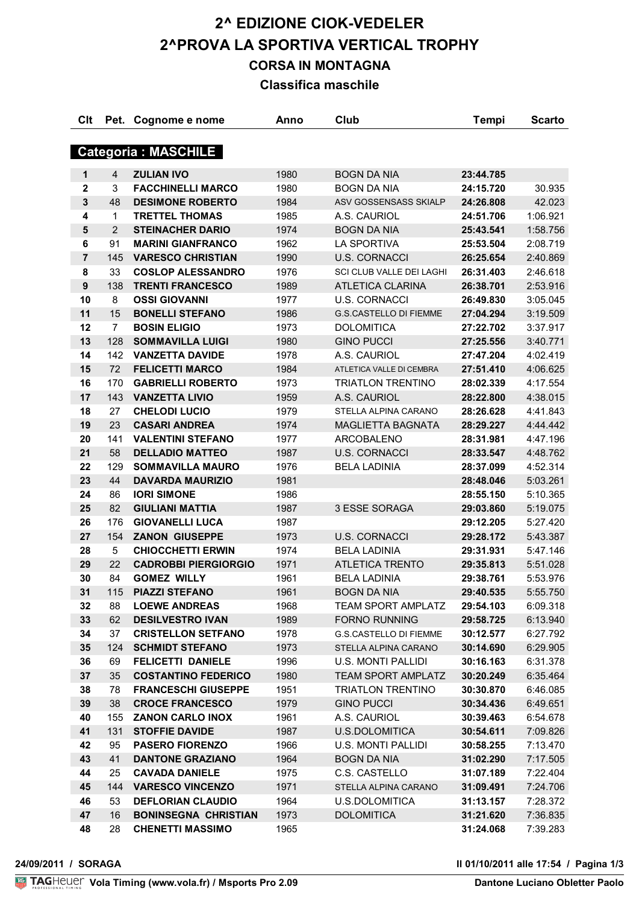# **2^ EDIZIONE CIOK-VEDELER 2^PROVA LA SPORTIVA VERTICAL TROPHY CORSA IN MONTAGNA**

**Classifica maschile**

| Clt              | Pet.           | Cognome e nome              | Anno         | Club                                 | Tempi     | <b>Scarto</b> |
|------------------|----------------|-----------------------------|--------------|--------------------------------------|-----------|---------------|
|                  |                | <b>Categoria: MASCHILE</b>  |              |                                      |           |               |
| 1                | 4              | <b>ZULIAN IVO</b>           | 1980         | <b>BOGN DA NIA</b>                   | 23:44.785 |               |
| $\mathbf 2$      | 3              | <b>FACCHINELLI MARCO</b>    | 1980         | <b>BOGN DA NIA</b>                   | 24:15.720 | 30.935        |
| $\mathbf{3}$     | 48             | <b>DESIMONE ROBERTO</b>     | 1984         | ASV GOSSENSASS SKIALP                | 24:26.808 | 42.023        |
| 4                | 1              | <b>TRETTEL THOMAS</b>       | 1985         | A.S. CAURIOL                         | 24:51.706 | 1:06.921      |
| 5                | $\overline{2}$ | <b>STEINACHER DARIO</b>     | 1974         | <b>BOGN DA NIA</b>                   | 25:43.541 | 1:58.756      |
| 6                | 91             | <b>MARINI GIANFRANCO</b>    | 1962         | <b>LA SPORTIVA</b>                   | 25:53.504 | 2:08.719      |
| $\overline{7}$   | 145            | <b>VARESCO CHRISTIAN</b>    | 1990         | <b>U.S. CORNACCI</b>                 | 26:25.654 | 2:40.869      |
| 8                | 33             | <b>COSLOP ALESSANDRO</b>    | 1976         | SCI CLUB VALLE DEI LAGHI             | 26:31.403 | 2:46.618      |
| $\boldsymbol{9}$ | 138            | <b>TRENTI FRANCESCO</b>     | 1989         | <b>ATLETICA CLARINA</b>              | 26:38.701 | 2:53.916      |
| 10               | 8              | <b>OSSI GIOVANNI</b>        | 1977         | <b>U.S. CORNACCI</b>                 | 26:49.830 | 3:05.045      |
| 11               | 15             | <b>BONELLI STEFANO</b>      | 1986         | <b>G.S.CASTELLO DI FIEMME</b>        | 27:04.294 | 3:19.509      |
| 12               | $\overline{7}$ | <b>BOSIN ELIGIO</b>         | 1973         | <b>DOLOMITICA</b>                    | 27:22.702 | 3:37.917      |
| 13               | 128            | <b>SOMMAVILLA LUIGI</b>     | 1980         | <b>GINO PUCCI</b>                    | 27:25.556 | 3:40.771      |
| 14               | 142            | <b>VANZETTA DAVIDE</b>      | 1978         | A.S. CAURIOL                         | 27:47.204 | 4:02.419      |
|                  | 72             | <b>FELICETTI MARCO</b>      | 1984         | ATLETICA VALLE DI CEMBRA             |           |               |
| 15               |                |                             | 1973         | <b>TRIATLON TRENTINO</b>             | 27:51.410 | 4:06.625      |
| 16               | 170            | <b>GABRIELLI ROBERTO</b>    |              |                                      | 28:02.339 | 4:17.554      |
| 17               | 143            | <b>VANZETTA LIVIO</b>       | 1959<br>1979 | A.S. CAURIOL<br>STELLA ALPINA CARANO | 28:22.800 | 4:38.015      |
| 18               | 27             | <b>CHELODI LUCIO</b>        |              |                                      | 28:26.628 | 4:41.843      |
| 19               | 23             | <b>CASARI ANDREA</b>        | 1974         | MAGLIETTA BAGNATA                    | 28:29.227 | 4:44.442      |
| 20               | 141            | <b>VALENTINI STEFANO</b>    | 1977         | <b>ARCOBALENO</b>                    | 28:31.981 | 4:47.196      |
| 21               | 58             | <b>DELLADIO MATTEO</b>      | 1987         | <b>U.S. CORNACCI</b>                 | 28:33.547 | 4:48.762      |
| 22               | 129            | <b>SOMMAVILLA MAURO</b>     | 1976         | <b>BELA LADINIA</b>                  | 28:37.099 | 4:52.314      |
| 23               | 44             | <b>DAVARDA MAURIZIO</b>     | 1981         |                                      | 28:48.046 | 5:03.261      |
| 24               | 86             | <b>IORI SIMONE</b>          | 1986         |                                      | 28:55.150 | 5:10.365      |
| 25               | 82             | <b>GIULIANI MATTIA</b>      | 1987         | 3 ESSE SORAGA                        | 29:03.860 | 5:19.075      |
| 26               | 176            | <b>GIOVANELLI LUCA</b>      | 1987         |                                      | 29:12.205 | 5:27.420      |
| 27               | 154            | <b>ZANON GIUSEPPE</b>       | 1973         | <b>U.S. CORNACCI</b>                 | 29:28.172 | 5:43.387      |
| 28               | 5              | <b>CHIOCCHETTI ERWIN</b>    | 1974         | <b>BELA LADINIA</b>                  | 29:31.931 | 5:47.146      |
| 29               | 22             | <b>CADROBBI PIERGIORGIO</b> | 1971         | <b>ATLETICA TRENTO</b>               | 29:35.813 | 5:51.028      |
| 30               | 84             | <b>GOMEZ WILLY</b>          | 1961         | <b>BELA LADINIA</b>                  | 29:38.761 | 5:53.976      |
| 31               | 115            | <b>PIAZZI STEFANO</b>       | 1961         | <b>BOGN DA NIA</b>                   | 29:40.535 | 5:55.750      |
| 32               | 88             | <b>LOEWE ANDREAS</b>        | 1968         | <b>TEAM SPORT AMPLATZ</b>            | 29:54.103 | 6:09.318      |
| 33               | 62             | <b>DESILVESTRO IVAN</b>     | 1989         | <b>FORNO RUNNING</b>                 | 29:58.725 | 6:13.940      |
| 34               | 37             | <b>CRISTELLON SETFANO</b>   | 1978         | <b>G.S.CASTELLO DI FIEMME</b>        | 30:12.577 | 6:27.792      |
| 35               | 124            | <b>SCHMIDT STEFANO</b>      | 1973         | STELLA ALPINA CARANO                 | 30:14.690 | 6:29.905      |
| 36               | 69             | <b>FELICETTI DANIELE</b>    | 1996         | <b>U.S. MONTI PALLIDI</b>            | 30:16.163 | 6:31.378      |
| 37               | 35             | <b>COSTANTINO FEDERICO</b>  | 1980         | <b>TEAM SPORT AMPLATZ</b>            | 30:20.249 | 6:35.464      |
| 38               | 78             | <b>FRANCESCHI GIUSEPPE</b>  | 1951         | <b>TRIATLON TRENTINO</b>             | 30:30.870 | 6:46.085      |
| 39               | 38             | <b>CROCE FRANCESCO</b>      | 1979         | <b>GINO PUCCI</b>                    | 30:34.436 | 6:49.651      |
| 40               | 155            | <b>ZANON CARLO INOX</b>     | 1961         | A.S. CAURIOL                         | 30:39.463 | 6:54.678      |
| 41               | 131            | <b>STOFFIE DAVIDE</b>       | 1987         | <b>U.S.DOLOMITICA</b>                | 30:54.611 | 7:09.826      |
| 42               | 95             | <b>PASERO FIORENZO</b>      | 1966         | <b>U.S. MONTI PALLIDI</b>            | 30:58.255 | 7:13.470      |
| 43               | 41             | <b>DANTONE GRAZIANO</b>     | 1964         | <b>BOGN DA NIA</b>                   | 31:02.290 | 7:17.505      |
| 44               | 25             | <b>CAVADA DANIELE</b>       | 1975         | C.S. CASTELLO                        | 31:07.189 | 7:22.404      |
| 45               | 144            | <b>VARESCO VINCENZO</b>     | 1971         | STELLA ALPINA CARANO                 | 31:09.491 | 7:24.706      |
| 46               | 53             | <b>DEFLORIAN CLAUDIO</b>    | 1964         | U.S.DOLOMITICA                       | 31:13.157 | 7:28.372      |
| 47               | 16             | <b>BONINSEGNA CHRISTIAN</b> | 1973         | <b>DOLOMITICA</b>                    | 31:21.620 | 7:36.835      |
| 48               | 28             | <b>CHENETTI MASSIMO</b>     | 1965         |                                      | 31:24.068 | 7:39.283      |

**24/09/2011 / SORAGA Il 01/10/2011 alle 17:54 / Pagina 1/3**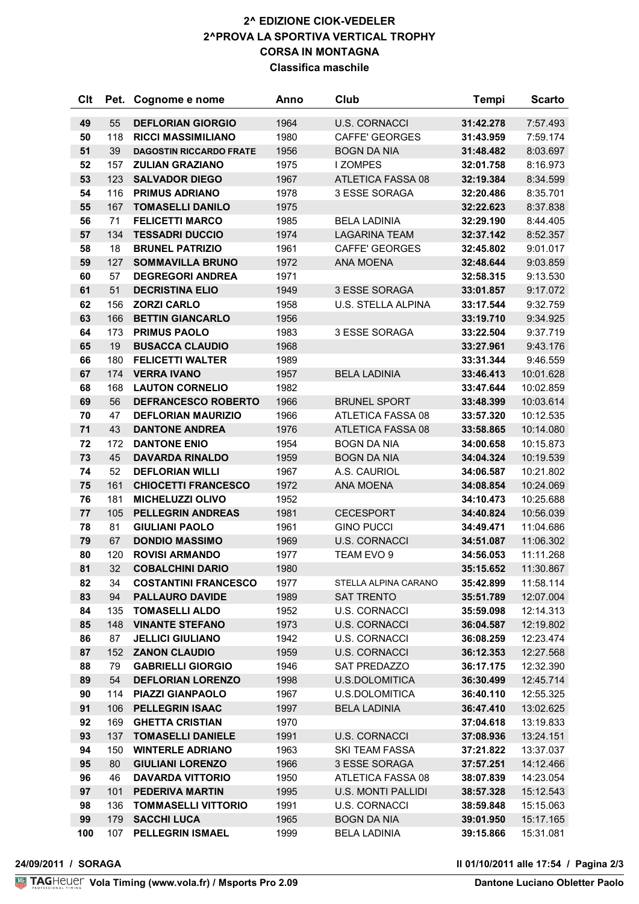#### **2^ EDIZIONE CIOK-VEDELER 2^PROVA LA SPORTIVA VERTICAL TROPHY CORSA IN MONTAGNA Classifica maschile**

| <b>Clt</b> | Pet.       | Cognome e nome                                       | Anno         | Club                                   | <b>Tempi</b>           | <b>Scarto</b>          |
|------------|------------|------------------------------------------------------|--------------|----------------------------------------|------------------------|------------------------|
| 49         | 55         | <b>DEFLORIAN GIORGIO</b>                             | 1964         | <b>U.S. CORNACCI</b>                   | 31:42.278              | 7:57.493               |
| 50         | 118        | <b>RICCI MASSIMILIANO</b>                            | 1980         | <b>CAFFE' GEORGES</b>                  | 31:43.959              | 7:59.174               |
| 51         | 39         | <b>DAGOSTIN RICCARDO FRATE</b>                       | 1956         | <b>BOGN DA NIA</b>                     | 31:48.482              | 8:03.697               |
| 52         | 157        | <b>ZULIAN GRAZIANO</b>                               | 1975         | <b>I ZOMPES</b>                        | 32:01.758              | 8:16.973               |
| 53         | 123        | <b>SALVADOR DIEGO</b>                                | 1967         | ATLETICA FASSA 08                      | 32:19.384              | 8:34.599               |
| 54         | 116        | <b>PRIMUS ADRIANO</b>                                | 1978         | 3 ESSE SORAGA                          | 32:20.486              | 8:35.701               |
| 55         | 167        | <b>TOMASELLI DANILO</b>                              | 1975         |                                        | 32:22.623              | 8:37.838               |
| 56         | 71         | <b>FELICETTI MARCO</b>                               | 1985         | <b>BELA LADINIA</b>                    | 32:29.190              | 8:44.405               |
| 57         | 134        | <b>TESSADRI DUCCIO</b>                               | 1974         | <b>LAGARINA TEAM</b>                   | 32:37.142              | 8:52.357               |
| 58         | 18         | <b>BRUNEL PATRIZIO</b>                               | 1961         | <b>CAFFE' GEORGES</b>                  | 32:45.802              | 9:01.017               |
| 59         | 127        | <b>SOMMAVILLA BRUNO</b>                              | 1972         | <b>ANA MOENA</b>                       | 32:48.644              | 9:03.859               |
| 60         | 57         | <b>DEGREGORI ANDREA</b>                              | 1971         |                                        | 32:58.315              | 9:13.530               |
| 61         | 51         | <b>DECRISTINA ELIO</b>                               | 1949         | 3 ESSE SORAGA                          | 33:01.857              | 9:17.072               |
| 62         | 156        | <b>ZORZI CARLO</b>                                   | 1958         | <b>U.S. STELLA ALPINA</b>              | 33:17.544              | 9:32.759               |
| 63         | 166        | <b>BETTIN GIANCARLO</b>                              | 1956         |                                        | 33:19.710              | 9:34.925               |
| 64         | 173        | <b>PRIMUS PAOLO</b>                                  | 1983         | 3 ESSE SORAGA                          | 33:22.504              | 9:37.719               |
| 65         | 19         | <b>BUSACCA CLAUDIO</b>                               | 1968         |                                        | 33:27.961              | 9:43.176               |
| 66         | 180        | <b>FELICETTI WALTER</b>                              | 1989         |                                        | 33:31.344              | 9:46.559               |
| 67         | 174        | <b>VERRA IVANO</b>                                   | 1957         | <b>BELA LADINIA</b>                    | 33:46.413              | 10:01.628              |
| 68         | 168        | <b>LAUTON CORNELIO</b>                               | 1982         |                                        | 33:47.644              | 10:02.859              |
| 69         | 56         | <b>DEFRANCESCO ROBERTO</b>                           | 1966         | <b>BRUNEL SPORT</b>                    | 33:48.399              | 10:03.614              |
| 70         | 47         | <b>DEFLORIAN MAURIZIO</b>                            | 1966         | ATLETICA FASSA 08                      | 33:57.320              | 10:12.535              |
| 71         | 43         | <b>DANTONE ANDREA</b>                                | 1976         | ATLETICA FASSA 08                      | 33:58.865              | 10:14.080              |
| 72         | 172        | <b>DANTONE ENIO</b>                                  | 1954         | <b>BOGN DA NIA</b>                     | 34:00.658              | 10:15.873              |
| 73         | 45         | <b>DAVARDA RINALDO</b>                               | 1959         | <b>BOGN DA NIA</b>                     | 34:04.324              | 10:19.539              |
| 74         | 52         | <b>DEFLORIAN WILLI</b>                               | 1967         | A.S. CAURIOL                           | 34:06.587              | 10:21.802              |
| 75         | 161        | <b>CHIOCETTI FRANCESCO</b>                           | 1972         | <b>ANA MOENA</b>                       | 34:08.854              | 10:24.069              |
| 76         | 181        | <b>MICHELUZZI OLIVO</b>                              | 1952         |                                        | 34:10.473              | 10:25.688              |
| 77         | 105        | <b>PELLEGRIN ANDREAS</b>                             | 1981         | <b>CECESPORT</b>                       | 34:40.824              | 10:56.039              |
| 78         | 81         | <b>GIULIANI PAOLO</b>                                | 1961         | <b>GINO PUCCI</b>                      | 34:49.471              | 11:04.686              |
| 79         | 67         | <b>DONDIO MASSIMO</b>                                | 1969         | <b>U.S. CORNACCI</b>                   | 34:51.087              | 11:06.302              |
| 80         | 120        | <b>ROVISI ARMANDO</b>                                | 1977         | TEAM EVO 9                             | 34:56.053              | 11:11.268              |
| 81         | 32         | <b>COBALCHINI DARIO</b>                              | 1980         |                                        | 35:15.652              | 11:30.867              |
| 82         | 34         | <b>COSTANTINI FRANCESCO</b>                          | 1977         | STELLA ALPINA CARANO                   | 35:42.899              | 11:58.114              |
| 83         | 94         | <b>PALLAURO DAVIDE</b>                               | 1989         | <b>SAT TRENTO</b>                      | 35:51.789              | 12:07.004              |
| 84         | 135        | <b>TOMASELLI ALDO</b>                                | 1952         | <b>U.S. CORNACCI</b>                   | 35:59.098              | 12:14.313              |
| 85         | 148        | <b>VINANTE STEFANO</b>                               | 1973         | <b>U.S. CORNACCI</b>                   | 36:04.587              | 12:19.802              |
| 86         | 87         | <b>JELLICI GIULIANO</b>                              | 1942         | U.S. CORNACCI                          | 36:08.259              | 12:23.474              |
| 87         | 152        | <b>ZANON CLAUDIO</b>                                 | 1959         | <b>U.S. CORNACCI</b>                   | 36:12.353              | 12:27.568              |
| 88<br>89   | 79<br>54   | <b>GABRIELLI GIORGIO</b><br><b>DEFLORIAN LORENZO</b> | 1946         | <b>SAT PREDAZZO</b>                    | 36:17.175<br>36:30.499 | 12:32.390<br>12:45.714 |
|            |            |                                                      | 1998         | U.S.DOLOMITICA                         |                        |                        |
| 90<br>91   | 114<br>106 | <b>PIAZZI GIANPAOLO</b><br><b>PELLEGRIN ISAAC</b>    | 1967         | U.S.DOLOMITICA<br><b>BELA LADINIA</b>  | 36:40.110              | 12:55.325<br>13:02.625 |
|            |            |                                                      | 1997         |                                        | 36:47.410              |                        |
| 92         | 169        | <b>GHETTA CRISTIAN</b><br><b>TOMASELLI DANIELE</b>   | 1970         |                                        | 37:04.618              | 13:19.833              |
| 93<br>94   | 137<br>150 | <b>WINTERLE ADRIANO</b>                              | 1991<br>1963 | <b>U.S. CORNACCI</b><br>SKI TEAM FASSA | 37:08.936              | 13:24.151<br>13:37.037 |
| 95         | 80         | <b>GIULIANI LORENZO</b>                              | 1966         | 3 ESSE SORAGA                          | 37:21.822              | 14:12.466              |
| 96         | 46         | <b>DAVARDA VITTORIO</b>                              | 1950         | ATLETICA FASSA 08                      | 37:57.251              |                        |
| 97         |            | <b>PEDERIVA MARTIN</b>                               |              | <b>U.S. MONTI PALLIDI</b>              | 38:07.839              | 14:23.054              |
| 98         | 101<br>136 | <b>TOMMASELLI VITTORIO</b>                           | 1995         | <b>U.S. CORNACCI</b>                   | 38:57.328              | 15:12.543<br>15:15.063 |
| 99         |            | <b>SACCHI LUCA</b>                                   | 1991         | <b>BOGN DA NIA</b>                     | 38:59.848              |                        |
|            | 179        |                                                      | 1965         |                                        | 39:01.950              | 15:17.165              |
| 100        | 107        | <b>PELLEGRIN ISMAEL</b>                              | 1999         | <b>BELA LADINIA</b>                    | 39:15.866              | 15:31.081              |

**24/09/2011 / SORAGA Il 01/10/2011 alle 17:54 / Pagina 2/3**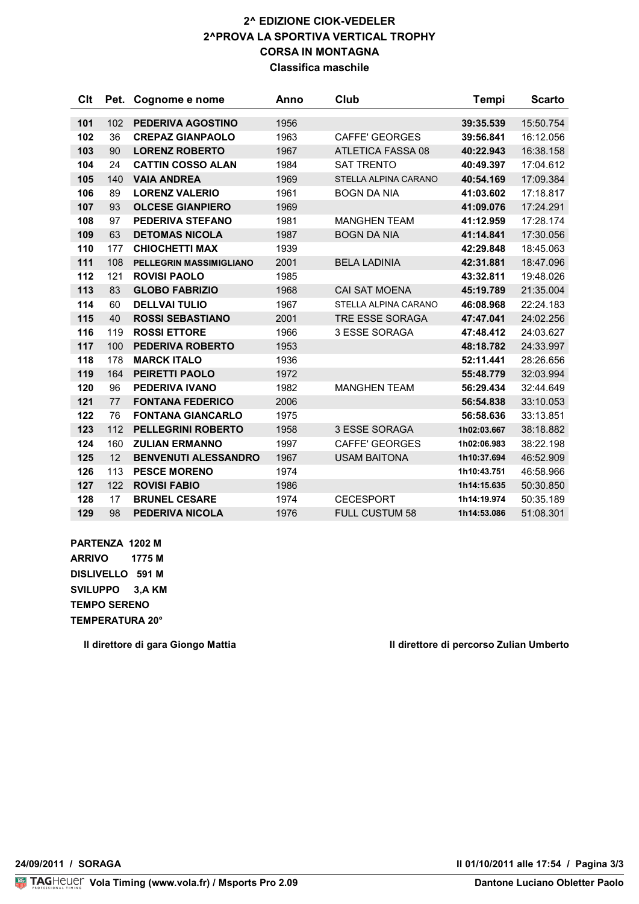#### **2^ EDIZIONE CIOK-VEDELER 2^PROVA LA SPORTIVA VERTICAL TROPHY CORSA IN MONTAGNA Classifica maschile**

| <b>Clt</b> | Pet. | Cognome e nome                 | Anno | Club                  | <b>Tempi</b> | <b>Scarto</b> |
|------------|------|--------------------------------|------|-----------------------|--------------|---------------|
|            |      |                                |      |                       |              |               |
| 101        | 102  | <b>PEDERIVA AGOSTINO</b>       | 1956 |                       | 39:35.539    | 15:50.754     |
| 102        | 36   | <b>CREPAZ GIANPAOLO</b>        | 1963 | <b>CAFFE' GEORGES</b> | 39:56.841    | 16:12.056     |
| 103        | 90   | <b>LORENZ ROBERTO</b>          | 1967 | ATLETICA FASSA 08     | 40:22.943    | 16:38.158     |
| 104        | 24   | <b>CATTIN COSSO ALAN</b>       | 1984 | <b>SAT TRENTO</b>     | 40:49.397    | 17:04.612     |
| 105        | 140  | <b>VAIA ANDREA</b>             | 1969 | STELLA ALPINA CARANO  | 40:54.169    | 17:09.384     |
| 106        | 89   | <b>LORENZ VALERIO</b>          | 1961 | <b>BOGN DA NIA</b>    | 41:03.602    | 17:18.817     |
| 107        | 93   | <b>OLCESE GIANPIERO</b>        | 1969 |                       | 41:09.076    | 17:24.291     |
| 108        | 97   | PEDERIVA STEFANO               | 1981 | <b>MANGHEN TEAM</b>   | 41:12.959    | 17:28.174     |
| 109        | 63   | <b>DETOMAS NICOLA</b>          | 1987 | <b>BOGN DA NIA</b>    | 41:14.841    | 17:30.056     |
| 110        | 177  | <b>CHIOCHETTI MAX</b>          | 1939 |                       | 42:29.848    | 18:45.063     |
| 111        | 108  | <b>PELLEGRIN MASSIMIGLIANO</b> | 2001 | <b>BELA LADINIA</b>   | 42:31.881    | 18:47.096     |
| 112        | 121  | <b>ROVISI PAOLO</b>            | 1985 |                       | 43:32.811    | 19:48.026     |
| 113        | 83   | <b>GLOBO FABRIZIO</b>          | 1968 | <b>CAI SAT MOENA</b>  | 45:19.789    | 21:35.004     |
| 114        | 60   | <b>DELLVAI TULIO</b>           | 1967 | STELLA ALPINA CARANO  | 46:08.968    | 22:24.183     |
| 115        | 40   | <b>ROSSI SEBASTIANO</b>        | 2001 | TRE ESSE SORAGA       | 47:47.041    | 24:02.256     |
| 116        | 119  | <b>ROSSI ETTORE</b>            | 1966 | 3 ESSE SORAGA         | 47:48.412    | 24:03.627     |
| 117        | 100  | <b>PEDERIVA ROBERTO</b>        | 1953 |                       | 48:18.782    | 24:33.997     |
| 118        | 178  | <b>MARCK ITALO</b>             | 1936 |                       | 52:11.441    | 28:26.656     |
| 119        | 164  | <b>PEIRETTI PAOLO</b>          | 1972 |                       | 55:48.779    | 32:03.994     |
| 120        | 96   | PEDERIVA IVANO                 | 1982 | <b>MANGHEN TEAM</b>   | 56:29.434    | 32:44.649     |
| 121        | 77   | <b>FONTANA FEDERICO</b>        | 2006 |                       | 56:54.838    | 33:10.053     |
| 122        | 76   | <b>FONTANA GIANCARLO</b>       | 1975 |                       | 56:58.636    | 33:13.851     |
| 123        | 112  | <b>PELLEGRINI ROBERTO</b>      | 1958 | <b>3 ESSE SORAGA</b>  | 1h02:03.667  | 38:18.882     |
| 124        | 160  | <b>ZULIAN ERMANNO</b>          | 1997 | <b>CAFFE' GEORGES</b> | 1h02:06.983  | 38:22.198     |
| 125        | 12   | <b>BENVENUTI ALESSANDRO</b>    | 1967 | <b>USAM BAITONA</b>   | 1h10:37.694  | 46:52.909     |
| 126        | 113  | <b>PESCE MORENO</b>            | 1974 |                       | 1h10:43.751  | 46:58.966     |
| 127        | 122  | <b>ROVISI FABIO</b>            | 1986 |                       | 1h14:15.635  | 50:30.850     |
| 128        | 17   | <b>BRUNEL CESARE</b>           | 1974 | <b>CECESPORT</b>      | 1h14:19.974  | 50:35.189     |
| 129        | 98   | <b>PEDERIVA NICOLA</b>         | 1976 | <b>FULL CUSTUM 58</b> | 1h14:53.086  | 51:08.301     |

**PARTENZA 1202 M ARRIVO 1775 M DISLIVELLO 591 M SVILUPPO 3,A KM TEMPO SERENO TEMPERATURA 20°**

**Il direttore di gara Giongo Mattia Il direttore di percorso Zulian Umberto**

**24/09/2011 / SORAGA Il 01/10/2011 alle 17:54 / Pagina 3/3**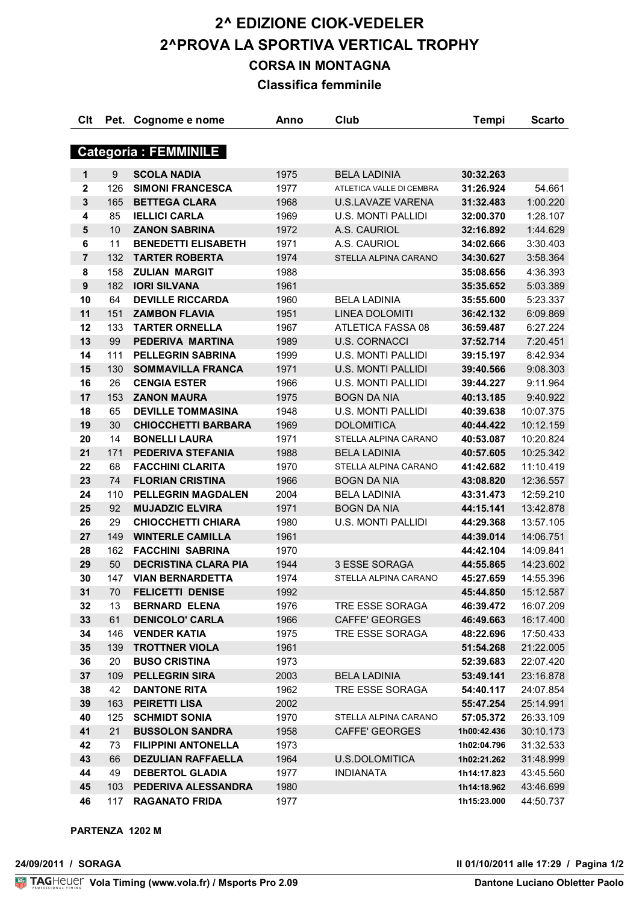## **2^ EDIZIONE CIOK-VEDELER 2^PROVA LA SPORTIVA VERTICAL TROPHY CORSA IN MONTAGNA Classifica femminile**

| Clt                          | Pet. | Cognome e nome              | Anno | Club                      | <b>Tempi</b> | <b>Scarto</b> |  |
|------------------------------|------|-----------------------------|------|---------------------------|--------------|---------------|--|
| <b>Categoria : FEMMINILE</b> |      |                             |      |                           |              |               |  |
|                              |      |                             |      |                           |              |               |  |
| $\mathbf 1$                  | 9    | <b>SCOLA NADIA</b>          | 1975 | <b>BELA LADINIA</b>       | 30:32.263    |               |  |
| $\mathbf 2$                  | 126  | <b>SIMONI FRANCESCA</b>     | 1977 | ATLETICA VALLE DI CEMBRA  | 31:26.924    | 54.661        |  |
| $\mathbf{3}$                 | 165  | <b>BETTEGA CLARA</b>        | 1968 | <b>U.S.LAVAZE VARENA</b>  | 31:32.483    | 1:00.220      |  |
| 4                            | 85   | <b>IELLICI CARLA</b>        | 1969 | <b>U.S. MONTI PALLIDI</b> | 32:00.370    | 1:28.107      |  |
| $5\phantom{1}$               | 10   | <b>ZANON SABRINA</b>        | 1972 | A.S. CAURIOL              | 32:16.892    | 1:44.629      |  |
| 6                            | 11   | <b>BENEDETTI ELISABETH</b>  | 1971 | A.S. CAURIOL              | 34:02.666    | 3:30.403      |  |
| $\overline{7}$               | 132  | <b>TARTER ROBERTA</b>       | 1974 | STELLA ALPINA CARANO      | 34:30.627    | 3:58.364      |  |
| 8                            | 158  | <b>ZULIAN MARGIT</b>        | 1988 |                           | 35:08.656    | 4:36.393      |  |
| $\boldsymbol{9}$             | 182  | <b>IORI SILVANA</b>         | 1961 |                           | 35:35.652    | 5:03.389      |  |
| 10                           | 64   | <b>DEVILLE RICCARDA</b>     | 1960 | <b>BELA LADINIA</b>       | 35:55.600    | 5:23.337      |  |
| 11                           | 151  | <b>ZAMBON FLAVIA</b>        | 1951 | <b>LINEA DOLOMITI</b>     | 36:42.132    | 6:09.869      |  |
| 12                           | 133  | <b>TARTER ORNELLA</b>       | 1967 | ATLETICA FASSA 08         | 36:59.487    | 6:27.224      |  |
| 13                           | 99   | PEDERIVA MARTINA            | 1989 | <b>U.S. CORNACCI</b>      | 37:52.714    | 7:20.451      |  |
| 14                           | 111  | <b>PELLEGRIN SABRINA</b>    | 1999 | <b>U.S. MONTI PALLIDI</b> | 39:15.197    | 8:42.934      |  |
| 15                           | 130  | <b>SOMMAVILLA FRANCA</b>    | 1971 | <b>U.S. MONTI PALLIDI</b> | 39:40.566    | 9:08.303      |  |
| 16                           | 26   | <b>CENGIA ESTER</b>         | 1966 | <b>U.S. MONTI PALLIDI</b> | 39:44.227    | 9:11.964      |  |
| 17                           | 153  | <b>ZANON MAURA</b>          | 1975 | <b>BOGN DA NIA</b>        | 40:13.185    | 9:40.922      |  |
| 18                           | 65   | <b>DEVILLE TOMMASINA</b>    | 1948 | <b>U.S. MONTI PALLIDI</b> | 40:39.638    | 10:07.375     |  |
| 19                           | 30   | <b>CHIOCCHETTI BARBARA</b>  | 1969 | <b>DOLOMITICA</b>         | 40:44.422    | 10:12.159     |  |
| 20                           | 14   | <b>BONELLI LAURA</b>        | 1971 | STELLA ALPINA CARANO      | 40:53.087    | 10:20.824     |  |
| 21                           | 171  | PEDERIVA STEFANIA           | 1988 | <b>BELA LADINIA</b>       | 40:57.605    | 10:25.342     |  |
| 22                           | 68   | <b>FACCHINI CLARITA</b>     | 1970 | STELLA ALPINA CARANO      | 41:42.682    | 11:10.419     |  |
| 23                           | 74   | <b>FLORIAN CRISTINA</b>     | 1966 | <b>BOGN DA NIA</b>        | 43:08.820    | 12:36.557     |  |
| 24                           | 110  | <b>PELLEGRIN MAGDALEN</b>   | 2004 | <b>BELA LADINIA</b>       | 43:31.473    | 12:59.210     |  |
| 25                           | 92   | <b>MUJADZIC ELVIRA</b>      | 1971 | <b>BOGN DA NIA</b>        | 44:15.141    | 13:42.878     |  |
| 26                           | 29   | <b>CHIOCCHETTI CHIARA</b>   | 1980 | <b>U.S. MONTI PALLIDI</b> | 44:29.368    | 13:57.105     |  |
| 27                           | 149  | <b>WINTERLE CAMILLA</b>     | 1961 |                           | 44:39.014    | 14:06.751     |  |
| 28                           | 162  | <b>FACCHINI SABRINA</b>     | 1970 |                           | 44:42.104    | 14:09.841     |  |
| 29                           | 50   | <b>DECRISTINA CLARA PIA</b> | 1944 | 3 ESSE SORAGA             | 44:55.865    | 14:23.602     |  |
| 30                           | 147  | <b>VIAN BERNARDETTA</b>     | 1974 | STELLA ALPINA CARANO      | 45:27.659    | 14:55.396     |  |
| 31                           | 70   | <b>FELICETTI DENISE</b>     | 1992 |                           | 45:44.850    | 15:12.587     |  |
| 32                           | 13   | <b>BERNARD ELENA</b>        | 1976 | TRE ESSE SORAGA           | 46:39.472    | 16:07.209     |  |
| 33                           | 61   | <b>DENICOLO' CARLA</b>      | 1966 | <b>CAFFE' GEORGES</b>     | 46:49.663    | 16:17.400     |  |
| 34                           | 146  | <b>VENDER KATIA</b>         | 1975 | TRE ESSE SORAGA           | 48:22.696    | 17:50.433     |  |
| 35                           | 139  | <b>TROTTNER VIOLA</b>       | 1961 |                           | 51:54.268    | 21:22.005     |  |
| 36                           | 20   | <b>BUSO CRISTINA</b>        | 1973 |                           | 52:39.683    | 22:07.420     |  |
| 37                           | 109  | <b>PELLEGRIN SIRA</b>       | 2003 | <b>BELA LADINIA</b>       | 53:49.141    | 23:16.878     |  |
| 38                           | 42   | <b>DANTONE RITA</b>         | 1962 | TRE ESSE SORAGA           | 54:40.117    | 24:07.854     |  |
| 39                           | 163  | <b>PEIRETTI LISA</b>        | 2002 |                           | 55:47.254    | 25:14.991     |  |
| 40                           | 125  | <b>SCHMIDT SONIA</b>        | 1970 | STELLA ALPINA CARANO      | 57:05.372    | 26:33.109     |  |
| 41                           | 21   | <b>BUSSOLON SANDRA</b>      | 1958 | <b>CAFFE' GEORGES</b>     | 1h00:42.436  | 30:10.173     |  |
| 42                           | 73   | <b>FILIPPINI ANTONELLA</b>  | 1973 |                           | 1h02:04.796  | 31:32.533     |  |
| 43                           | 66   | <b>DEZULIAN RAFFAELLA</b>   | 1964 | U.S.DOLOMITICA            | 1h02:21.262  | 31:48.999     |  |
| 44                           | 49   | <b>DEBERTOL GLADIA</b>      | 1977 | <b>INDIANATA</b>          | 1h14:17.823  | 43:45.560     |  |
| 45                           | 103  | PEDERIVA ALESSANDRA         | 1980 |                           | 1h14:18.962  | 43:46.699     |  |
| 46                           | 117  | <b>RAGANATO FRIDA</b>       | 1977 |                           | 1h15:23.000  | 44:50.737     |  |

**PARTENZA 1202 M**